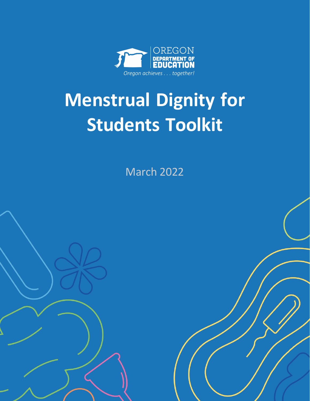

# **Menstrual Dignity for Students Toolkit**

March 2022

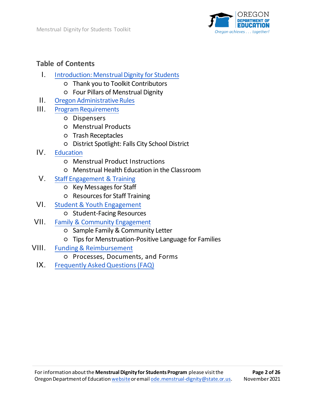

## <span id="page-1-0"></span>**Table of Contents**

- I. [Introduction: Menstrual Dignity for Students](#page-2-0)
	- Thank you to Toolkit Contributors
	- Four Pillars of Menstrual Dignity
- II. [Oregon Administrative Rules](#page-5-0)
- III. [Program Requirements](#page-6-0)
	- Dispensers
	- Menstrual Products
	- Trash Receptacles
	- District Spotlight: Falls City School District
- IV. [Education](#page-11-0)
	- Menstrual Product Instructions
	- Menstrual Health Education in the Classroom
- V. [Staff Engagement &](#page-15-0) Training
	- Key Messages for Staff
	- Resources for Staff Training
- VI. Student & [Youth Engagement](#page-17-0)
	- Student-Facing Resources
- VII. Family & Community [Engagement](#page-18-0)
	- Sample Family & Community Letter
	- Tipsfor Menstruation-Positive Language for Families
- VIII. Funding & [Reimbursement](#page-20-0)
	- Processes, Documents, and Forms
	- IX. [Frequently Asked Questions \(FAQ\)](#page-23-0)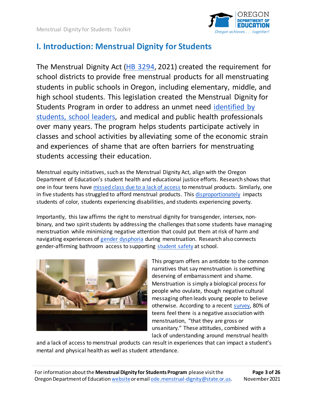

# <span id="page-2-0"></span>**I. Introduction: Menstrual Dignity for Students**

The Menstrual Dignity Act [\(HB 3294,](https://olis.oregonlegislature.gov/liz/2021R1/Downloads/MeasureDocument/HB3294/Enrolled) 2021) created the requirement for school districts to provide free menstrual products for all menstruating students in public schools in Oregon, including elementary, middle, and high school students. This legislation created the Menstrual Dignity for Students Program in order to address an unmet need [identified by](https://olis.oregonlegislature.gov/liz/2021R1/Committees/HED/2021-03-16-13-00/HB3294/Details?utm_medium=email&utm_source=govdelivery)  [students, school leaders,](https://olis.oregonlegislature.gov/liz/2021R1/Committees/HED/2021-03-16-13-00/HB3294/Details?utm_medium=email&utm_source=govdelivery) and medical and public health professionals over many years. The program helps students participate actively in classes and school activities by alleviating some of the economic strain and experiences of shame that are often barriers for menstruating students accessing their education.

Menstrual equity initiatives, such as the Menstrual Dignity Act, align with the Oregon Department of Education's student health and educational justice efforts. Research shows that one in four teens have [missed class due to a lack of access](https://period.org/uploads/State-of-the-Period-2021.pdf) to menstrual products. Similarly, one in five students has struggled to afford menstrual products. This [disproportionately](https://pubmed.ncbi.nlm.nih.gov/30633137/) impacts students of color, students experiencing disabilities, and students experiencing poverty.

Importantly, this law affirms the right to menstrual dignity for transgender, intersex, nonbinary, and two spirit students by addressing the challenges that some students have managing menstruation while minimizing negative attention that could put them at risk of harm and navigating experiences of [gender dysphoria](https://onlinelibrary.wiley.com/doi/full/10.1111/soin.12355) during menstruation. Research also connects gender-affirming bathroom access to supporting [student safety](https://pediatrics.aappublications.org/content/143/6/e20182902) at school.



This program offers an antidote to the common narratives that say menstruation is something deserving of embarrassment and shame. Menstruation is simply a biological process for people who ovulate, though negative cultural messaging often leads young people to believe otherwise. According to a recent [survey,](https://period.org/uploads/State-of-the-Period-2021.pdf) 80% of teens feel there is a negative association with menstruation, "that they are gross or unsanitary." These attitudes, combined with a lack of understanding around menstrual health

and a lack of access to menstrual products can result in experiences that can impact a student's mental and physical health as well as student attendance.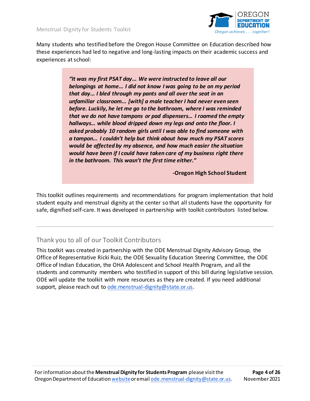

Many students who testified before the Oregon House Committee on Education described how these experiences had led to negative and long-lasting impacts on their academic success and experiences at school:

> *"It was my first PSAT day... We were instructed to leave all our belongings at home... I did not know I was going to be on my period that day... I bled through my pants and all over the seat in an unfamiliar classroom... [with] a male teacher I had never even seen before. Luckily, he let me go to the bathroom, where I was reminded that we do not have tampons or pad dispensers… I roamed the empty hallways… while blood dripped down my legs and onto the floor. I asked probably 10 random girls until I was able to find someone with a tampon... I couldn't help but think about how much my PSAT scores would be affected by my absence, and how much easier the situation would have been if I could have taken care of my business right there in the bathroom. This wasn't the first time either."*

> > **-Oregon High School Student**

This toolkit outlines requirements and recommendations for program implementation that hold student equity and menstrual dignity at the center so that all students have the opportunity for safe, dignified self-care. It was developed in partnership with toolkit contributors listed below.

## Thank you to all of our Toolkit Contributors

This toolkit was created in partnership with the ODE Menstrual Dignity Advisory Group, the Office of Representative Ricki Ruiz, the ODE Sexuality Education Steering Committee, the ODE Office of Indian Education, the OHA Adolescent and School Health Program, and all the students and community members who testified in support of this bill during legislative session. ODE will update the toolkit with more resources as they are created. If you need additional support, please reach out to ode.menstrual-dignity@state.or.us.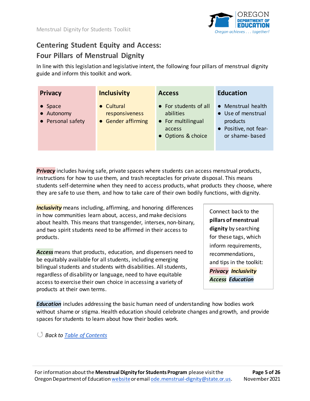

## <span id="page-4-0"></span>**Centering Student Equity and Access: Four Pillars of Menstrual Dignity**

In line with this legislation and legislative intent, the following four pillars of menstrual dignity guide and inform this toolkit and work.

| <b>Privacy</b>                                     | <b>Inclusivity</b>                                 | <b>Access</b>                                                                            | <b>Education</b>                                                                                |
|----------------------------------------------------|----------------------------------------------------|------------------------------------------------------------------------------------------|-------------------------------------------------------------------------------------------------|
| $\bullet$ Space<br>• Autonomy<br>• Personal safety | • Cultural<br>responsiveness<br>• Gender affirming | • For students of all<br>abilities<br>• For multilingual<br>access<br>• Options & choice | • Menstrual health<br>• Use of menstrual<br>products<br>• Positive, not fear-<br>or shame-based |

*Privacy* includes having safe, private spaces where students can access menstrual products, instructions for how to use them, and trash receptacles for private disposal. This means students self-determine when they need to access products, what products they choose, where they are safe to use them, and how to take care of their own bodily functions, with dignity.

*Inclusivity* means including, affirming, and honoring differences in how communities learn about, access, and make decisions about health. This means that transgender, intersex, non-binary, and two spirit students need to be affirmed in their access to products.

*Access* means that products, education, and dispensers need to be equitably available for all students, including emerging bilingual students and students with disabilities. All students, regardless of disability or language, need to have equitable access to exercise their own choice in accessing a variety of products at their own terms.

Connect back to the **pillars of menstrual dignity** by searching for these tags, which inform requirements, recommendations, and tips in the toolkit: *Privacy Inclusivity Access Education*

*Education* includes addressing the basic human need of understanding how bodies work without shame or stigma. Health education should celebrate changes and growth, and provide spaces for students to learn about how their bodies work.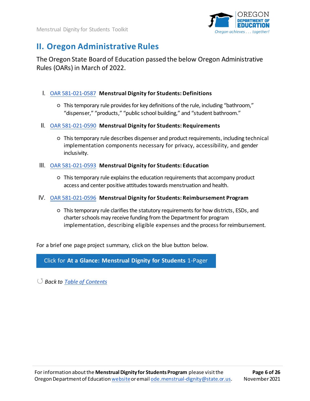

# <span id="page-5-0"></span>**II. Oregon Administrative Rules**

The Oregon State Board of Education passed the below Oregon Administrative Rules (OARs) in March of 2022.

#### I. [OAR](https://secure.sos.state.or.us/oard/viewSingleRule.action?ruleVrsnRsn=287769) [581-021-0](https://secure.sos.state.or.us/oard/viewSingleRule.action?ruleVrsnRsn=287769)587 **Menstrual Dignity for Students: Definitions**

- Thistemporary rule provides for key definitions of the rule, including "bathroom," "dispenser," "products," "public school building," and "student bathroom."
- II. [OAR 581-021-0](https://secure.sos.state.or.us/oard/viewSingleRule.action?ruleVrsnRsn=287770)590 **Menstrual Dignity for Students: Requirements**
	- This temporary rule describes dispenser and product requirements, including technical implementation components necessary for privacy, accessibility, and gender inclusivity.

#### III. [OAR 581-021-0](https://secure.sos.state.or.us/oard/viewSingleRule.action?ruleVrsnRsn=287771)593 **Menstrual Dignity for Students: Education**

○ Thistemporary rule explainsthe education requirementsthat accompany product access and center positive attitudes towards menstruation and health.

#### IV. [OAR 581-021-0](https://secure.sos.state.or.us/oard/viewSingleRule.action?ruleVrsnRsn=287772)596 **Menstrual Dignity for Students: Reimbursement Program**

○ This temporary rule clarifies the statutory requirementsfor how districts, ESDs, and charter schools may receive funding from the Department for program implementation, describing eligible expenses and the process for reimbursement.

For a brief one page project summary, click on the blue button below.

Click for **[At a Glance: Menstrual Dignity for Students](https://www.oregon.gov/ode/students-and-family/healthsafety/Documents/ODE%20Menstrual%20Dignity%20for%20Students_At%20a%20Glance%201-Pager.pdf)** 1-Pager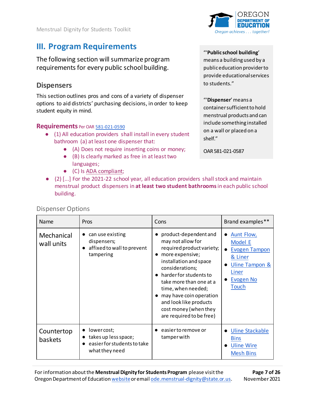# <span id="page-6-0"></span>**III. Program Requirements**

The following section will summarize program requirements for every public school building.

## **Dispensers**

This section outlines pros and cons of a variety of dispenser options to aid districts' purchasing decisions, in order to keep student equity in mind.

## **Requirements** Per OAR [581-021-](https://secure.sos.state.or.us/oard/viewSingleRule.action?ruleVrsnRsn=287770)<sup>0590</sup>

- (1) All education providers shall install in every student bathroom (a) at least one dispenser that:
	- (A) Does not require inserting coins or money;
	- (B) Is clearly marked as free in at least two languages;
	- (C) Is [ADA compliant;](https://www.oregon.gov/ode/students-and-family/equity/civilrights/Pages/Section504.aspx)
- (2) [...] For the 2021-22 school year, all education providers shall stock and maintain menstrual product dispensers in **at least two student bathrooms**in each public school building.

## Dispenser Options

| Name                     | Pros                                                                                 | Cons                                                                                                                                                                                                                                                                                                                             | Brand examples**                                                                                                 |
|--------------------------|--------------------------------------------------------------------------------------|----------------------------------------------------------------------------------------------------------------------------------------------------------------------------------------------------------------------------------------------------------------------------------------------------------------------------------|------------------------------------------------------------------------------------------------------------------|
| Mechanical<br>wall units | can use existing<br>dispensers;<br>affixed to wall to prevent<br>tampering           | product-dependent and<br>may not allow for<br>required product variety;<br>more expensive;<br>installation and space<br>considerations;<br>• harder for students to<br>take more than one at a<br>time, when needed;<br>• may have coin operation<br>and look like products<br>cost money (when they<br>are required to be free) | <b>Aunt Flow,</b><br>Model E<br><b>Evogen Tampon</b><br>& Liner<br>Uline Tampon &<br>Liner<br>Evogen No<br>Touch |
| Countertop<br>baskets    | lower cost;<br>takes up less space;<br>easier for students to take<br>what they need | easier to remove or<br>tamperwith                                                                                                                                                                                                                                                                                                | <b>Uline Stackable</b><br><b>Bins</b><br><b>Uline Wire</b><br><b>Mesh Bins</b>                                   |

## "'**Public school building**'

means a building used by a public education provider to provide educational services to students."

#### "'**Dispenser**' means a

container sufficient to hold menstrual products and can include something installed on a wall or placed on a shelf."

OAR 581-021-0587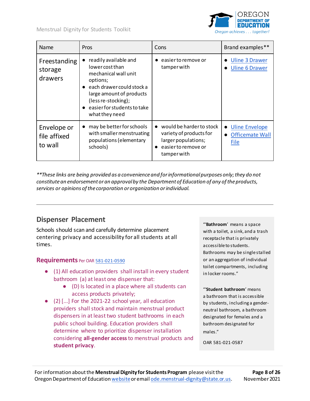

| <b>Name</b>                            | Pros                                                                                                                                                                                                            | Cons                                                                                                                       | Brand examples**                                                                         |
|----------------------------------------|-----------------------------------------------------------------------------------------------------------------------------------------------------------------------------------------------------------------|----------------------------------------------------------------------------------------------------------------------------|------------------------------------------------------------------------------------------|
| Freestanding<br>storage<br>drawers     | readily available and<br>lower cost than<br>mechanical wall unit<br>options;<br>• each drawer could stock a<br>large amount of products<br>(less re-stocking);<br>easier for students to take<br>what they need | $\bullet$ easier to remove or<br>tamperwith                                                                                | <b>Uline 3 Drawer</b><br><b>Uline 6 Drawer</b>                                           |
| Envelope or<br>file affixed<br>to wall | may be better for schools<br>with smaller menstruating<br>populations (elementary<br>schools)                                                                                                                   | $\bullet$ would be harder to stock<br>variety of products for<br>larger populations;<br>easier to remove or<br>tamper with | <b>Uline Envelope</b><br>$\bullet$<br><b>Officemate Wall</b><br>$\bullet$<br><b>File</b> |

*\*\*These links are being provided as a convenience and for informational purposes only; they do not constitute an endorsement or an approval by the Department of Education of any of the products, services or opinions of the corporation or organization or individual.*

## **Dispenser Placement**

Schools should scan and carefully determine placement centering privacy and accessibility for all students at all times.

## **Requirements** Per OAR [581-021-0](https://secure.sos.state.or.us/oard/viewSingleRule.action?ruleVrsnRsn=287770)<sup>590</sup>

- (1) All education providers shall install in every student bathroom (a) at least one dispenser that:
	- (D) Is located in a place where all students can access products privately;
- (2) [...] For the 2021-22 school year, all education providers shall stock and maintain menstrual product dispensers in at least two student bathrooms in each public school building. Education providers shall determine where to prioritize dispenser installation considering **all-gender access**to menstrual products and **student privacy**.

"'**Bathroom**' means a space with a toilet, a sink, and a trash receptacle that is privately accessible to students. Bathrooms may be singlestalled or an aggregation of individual toilet compartments, including in locker rooms."

"'**Student bathroom**' means a bathroom that is accessible by students, including a genderneutral bathroom, a bathroom designated for females and a bathroom designated for males."

OAR 581-021-0587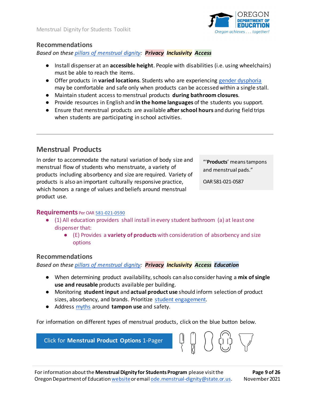

#### **Recommendations**

*Based on these [pillars of menstrual dignity:](#page-4-0) Privacy Inclusivity Access* 

- Install dispenser at an **accessible height**. People with disabilities (i.e. using wheelchairs) must be able to reach the items.
- Offer products in **varied locations**. Students who are experiencing [gender dysphoria](https://helloclue.com/articles/cycle-a-z/gender-dysphoria-your-cycle) may be comfortable and safe only when products can be accessed within a single stall.
- Maintain student access to menstrual products **during bathroom closures**.
- Provide resources in English and **in the home languages** of the students you support.
- Ensure that menstrual products are available **after school hours** and during field trips when students are participating in school activities.

## **Menstrual Products**

In order to accommodate the natural variation of body size and menstrual flow of students who menstruate, a variety of products including absorbency and size are required. Variety of products is also an important culturally responsive practice, which honors a range of values and beliefs around menstrual product use.

"'**Products**' means tampons and menstrual pads."

OAR 581-021-0587

#### **Requirements** Per OAR [581-021-0](https://secure.sos.state.or.us/oard/viewSingleRule.action?ruleVrsnRsn=287770)<sup>590</sup>

- (1) All education providers shall install in every student bathroom (a) at least one dispenser that:
	- (E) Provides a **variety of products** with consideration of absorbency and size options

## **Recommendations**

*Based on these [pillars of menstrual dignity:](#page-4-0) Privacy Inclusivity Access Education*

- When determining product availability, schools can also consider having a **mix of single use and reusable** products available per building.
- Monitoring **student input** and **actual product use** should inform selection of product sizes, absorbency, and brands. Prioritize [student engagement.](#page-17-0)
- Address [myths](https://www.playtexplayon.com/tampon-faq/tampon-myths) around **tampon use** and safety.

For information on different types of menstrual products, click on the blue button below.

Click for **[Menstrual Product Options](https://www.oregon.gov/ode/students-and-family/healthsafety/Documents/MDFS%20Toolkit_Menstrual%20Product%20Options%201-Pager.pdf)** 1-Pager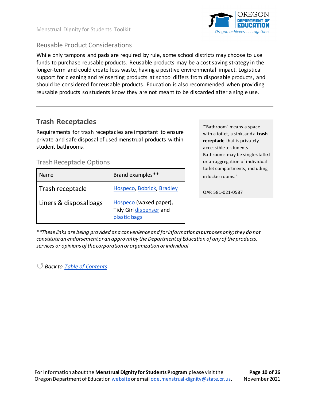

## Reusable Product Considerations

While only tampons and pads are required by rule, some school districts may choose to use funds to purchase reusable products. Reusable products may be a cost saving strategy in the longer-term and could create less waste, having a positive environmental impact. Logistical support for cleaning and reinserting products at school differs from disposable products, and should be considered for reusable products. Education is also recommended when providing reusable products so students know they are not meant to be discarded after a single use.

## **Trash Receptacles**

Requirements for trash receptacles are important to ensure private and safe disposal of used menstrual products within student bathrooms.

## Trash Receptacle Options

| Name                   | Brand examples**                                                  |  |
|------------------------|-------------------------------------------------------------------|--|
| Trash receptacle       | Hospeco, Bobrick, Bradley                                         |  |
| Liners & disposal bags | Hospeco (waxed paper),<br>Tidy Girl dispenser and<br>plastic bags |  |

"'Bathroom' means a space with a toilet, a sink, and a **trash receptacle** that is privately accessible to students. Bathrooms may be singlestalled or an aggregation of individual toilet compartments, including in locker rooms."

OAR 581-021-0587

*\*\*These links are being provided as a convenience and for informational purposes only; they do not constitute an endorsement or an approval by the Department of Education of any of the products, services or opinions of the corporation or organization or individual*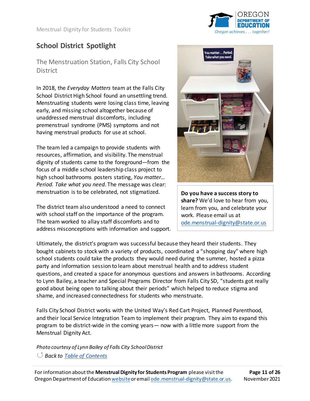

## **School District Spotlight**

The Menstruation Station, Falls City School **District** 

In 2018, the *Everyday Matters* team at the Falls City School District High School found an unsettling trend. Menstruating students were losing class time, leaving early, and missing school altogether because of unaddressed menstrual discomforts, including premenstrual syndrome (PMS) symptoms and not having menstrual products for use at school.

The team led a campaign to provide students with resources, affirmation, and visibility. The menstrual dignity of students came to the foreground—from the focus of a middle school leadership class project to high school bathrooms posters stating, *You matter… Period. Take what you need*. The message was clear: menstruation is to be celebrated, not stigmatized.

The district team also understood a need to connect with school staff on the importance of the program. The team worked to allay staff discomforts and to address misconceptions with information and support.



**Do you have a success story to share?** We'd love to hear from you, learn from you, and celebrate your work. Please email us at ode.menstrual-dignity@state.or.us

Ultimately, the district's program was successful because they heard their students. They bought cabinets to stock with a variety of products, coordinated a "shopping day" where high school students could take the products they would need during the summer, hosted a pizza party and information session to learn about menstrual health and to address student questions, and created a space for anonymous questions and answers in bathrooms. According to Lynn Bailey, a teacher and Special Programs Director from Falls City SD, "students got really good about being open to talking about their periods" which helped to reduce stigma and shame, and increased connectedness for students who menstruate.

Falls City School District works with the United Way's Red Cart Project, Planned Parenthood, and their local Service Integration Team to implement their program. They aim to expand this program to be district-wide in the coming years— now with a little more support from the Menstrual Dignity Act.

*Photo courtesy of Lynn Bailey of Falls City School District* ↺ *Back to [Table of Contents](#page-1-0)*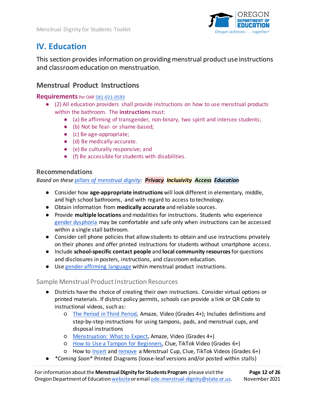

# <span id="page-11-0"></span>**IV. Education**

This section provides information on providing menstrual product use instructions and classroom education on menstruation.

## **Menstrual Product Instructions**

#### **Requirements** Per OAR [581-021-0](https://secure.sos.state.or.us/oard/viewSingleRule.action?ruleVrsnRsn=287771)<sup>593</sup>

- (2) All education providers shall provide instructions on how to use menstrual products within the bathroom. The **instructions** must:
	- (a) Be affirming of transgender, non-binary, two spirit and intersex students;
	- (b) Not be fear- or shame-based;
	- (c) Be age-appropriate;
	- (d) Be medically-accurate.
	- (e) Be culturally responsive; and
	- (f) Be accessible for students with disabilities.

## **Recommendations**

#### *Based on these [pillars of menstrual dignity:](#page-4-0) Privacy Inclusivity Access Education*

- Consider how **age-appropriate instructions** will look different in elementary, middle, and high school bathrooms, and with regard to access to technology.
- Obtain information from **medically accurate** and reliable sources.
- Provide **multiple locations** and modalities for instructions. Students who experience [gender dysphoria](https://helloclue.com/articles/cycle-a-z/gender-dysphoria-your-cycle) may be comfortable and safe only when instructions can be accessed within a single stall bathroom.
- Consider cell phone policies that allow students to obtain and use instructions privately on their phones and offer printed instructions for students without smartphone access.
- Include **school-specific contact people** and **local community resources**for questions and disclosures in posters, instructions, and classroom education.
- Use [gender-affirming language](#page-13-0) within menstrual product instructions.

## Sample Menstrual Product Instruction Resources

- Districts have the choice of creating their own instructions. Consider virtual options or printed materials. If district policy permits, schools can provide a link or QR Code to instructional videos, such as:
	- [The Period in Third Period,](https://amaze.org/video/period-in-third-period/) Amaze, Video (Grades 4+); Includes definitions and step-by-step instructions for using tampons, pads, and menstrual cups, and disposal instructions
	- [Menstruation: What to Expect,](https://amaze.org/video/puberty-menstruation-what-to-expect/) Amaze, Video (Grades 4+)
	- [How to Use a Tampon for Beginners,](https://www.tiktok.com/@clueapp/video/6949101581191154949?lang=en&is_copy_url=1&is_from_webapp=v1) Clue, TikTok Video (Grades 6+)
	- How to [Insert](https://www.tiktok.com/@clueapp/video/6932414335088200965?lang=en&is_copy_url=1&is_from_webapp=v1) and [remove](https://www.tiktok.com/@clueapp/video/6918028858318998786?lang=en&is_copy_url=1&is_from_webapp=v1) a Menstrual Cup, Clue, TikTok Videos (Grades 6+)
- *\*Coming Soon\** Printed Diagrams (loose-leaf versions and/or posted within stalls)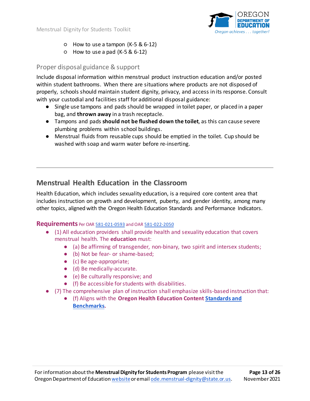

- $O$  How to use a tampon (K-5 & 6-12)
- $O$  How to use a pad (K-5 & 6-12)

## Proper disposal guidance & support

Include disposal information within menstrual product instruction education and/or posted within student bathrooms. When there are situations where products are not disposed of properly, schools should maintain student dignity, privacy, and access in its response. Consult with your custodial and facilities staff for additional disposal guidance:

- Single use tampons and pads should be wrapped in toilet paper, or placed in a paper bag, and **thrown away** in a trash receptacle.
- Tampons and pads **should not be flushed down the toilet**, as this can cause severe plumbing problems within school buildings.
- Menstrual fluids from reusable cups should be emptied in the toilet. Cup should be washed with soap and warm water before re-inserting.

## **Menstrual Health Education in the Classroom**

Health Education, which includes sexuality education, is a required core content area that includes instruction on growth and development, puberty, and gender identity, among many other topics, aligned with the Oregon Health Education Standards and Performance Indicators.

#### **Requirements** Per OAR [581-021-0](https://secure.sos.state.or.us/oard/viewSingleRule.action?ruleVrsnRsn=287771)<sup>593</sup> and OAR [581-022-2050](https://secure.sos.state.or.us/oard/viewSingleRule.action?ruleVrsnRsn=145221)

- (1) All education providers shall provide health and sexuality education that covers menstrual health. The **education** must:
	- (a) Be affirming of transgender, non-binary, two spirit and intersex students;
	- (b) Not be fear- or shame-based;
	- (c) Be age-appropriate;
	- (d) Be medically-accurate.
	- (e) Be culturally responsive; and
	- (f) Be accessible for students with disabilities.
- (7) The comprehensive plan of instruction shall emphasize skills-based instruction that:
	- (f) Aligns with the **Oregon Health Education Conten[t Standards and](#page-13-1) [Benchmarks.](#page-13-1)**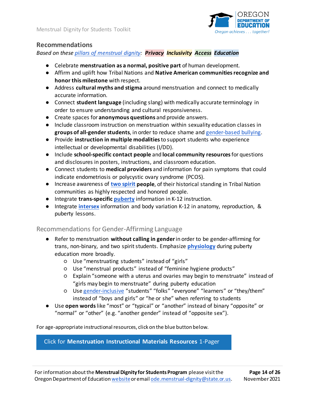

## **Recommendations**

*Based on these [pillars of menstrual dignity:](#page-4-0) Privacy Inclusivity Access Education*

- Celebrate **menstruation as a normal, positive part** of human development.
- Affirm and uplift how Tribal Nations and **Native American communities recognize and honor this milestone** with respect.
- Address **cultural myths and stigma** around menstruation and connect to medically accurate information.
- Connect **student language** (including slang) with medically accurate terminology in order to ensure understanding and cultural responsiveness.
- Create spaces for **anonymous questions** and provide answers.
- Include classroom instruction on menstruation within sexuality education classes in **groups of all-gender students**, in order to reduce shame and [gender-based bullying.](https://pubmed.ncbi.nlm.nih.gov/33059958/)
- Provide **instruction in multiple modalities** to support students who experience intellectual or developmental disabilities (I/DD).
- Include **school-specific contact people** and **local community resources**for questions and disclosures in posters, instructions, and classroom education.
- Connect students to **medical providers** and information for pain symptoms that could indicate endometriosis or polycystic ovary syndrome (PCOS).
- Increase awareness of **[two spirit](https://www.ihs.gov/lgbt/health/twospirit/) people**, of their historical standing in Tribal Nation communities as highly respected and honored people.
- Integrate **trans-specifi[c puberty](https://amaze.org/video/puberty-and-transgender-youth/)** information in K-12 instruction.
- Integrate *[intersex](https://interactadvocates.org/faq/)* information and body variation K-12 in anatomy, reproduction, & puberty lessons.

## <span id="page-13-0"></span>Recommendations for Gender-Affirming Language

- Refer to menstruation **without calling in gender**in order to be gender-affirming for trans, non-binary, and two spirit students. Emphasize **[physiology](https://genderspectrum.org/articles/puberty-and-health-ed)** during puberty education more broadly.
	- Use "menstruating students" instead of "girls"
	- Use "menstrual products" instead of "feminine hygiene products"
	- Explain "someone with a uterus and ovaries may begin to menstruate" instead of "girls may begin to menstruate" during puberty education
	- Use [gender-inclusive](https://www.genderspectrum.org/articles/using-gender-inclusive-language) "students" "folks" "everyone" "learners" or "they/them" instead of "boys and girls" or "he or she" when referring to students
- Use **open words**like "most" or "typical" or "another" instead of binary "opposite" or "normal" or "other" (e.g. "another gender" instead of "opposite sex").

For age-appropriate instructional resources, click on the blue button below.

<span id="page-13-1"></span>Click for **[Menstruation Instructional Materials Resources](https://www.oregon.gov/ode/students-and-family/healthsafety/Documents/MDFS%20Toolkit_Instructional%20Materials%20Options%201-Pager.pdf)** 1-Pager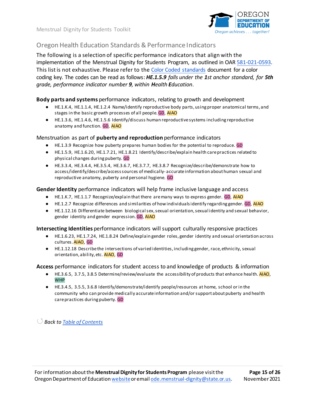

## Oregon Health Education Standards & Performance Indicators

The following is a selection of specific performance indicators that align with the implementation of the Menstrual Dignity for Students Program, as outlined in OAR 5[81-021-0](https://secure.sos.state.or.us/oard/viewSingleRule.action?ruleVrsnRsn=281315)593. [This li](https://secure.sos.state.or.us/oard/viewSingleRule.action?ruleVrsnRsn=287771)st is not exhaustive. Please refer to the [Color Coded standards](https://www.oregon.gov/ode/educator-resources/standards/Documents/CDL%20Digital%20Toolkit/OR%20Health%20Standards_Color%20Coded%20Topics_Summer%202020%20DRAFT.pdf) document for a color coding key. The codes can be read as follows: *HE.1.5.9 falls under the 1st anchor standard, for 5th grade, performance indicator number 9, within Health Education*.

#### **Body parts and systems** performance indicators, relating to growth and development

- HE.1.K.4, HE.1.1.4, HE.1.2.4 Name/identify reproductive body parts, using proper anatomical terms, and stages in the basic growth processes of all people. GD, AIAO
- HE.1.3.6, HE.1.4.6, HE.1.5.6 Identify/discuss human reproductive systems including reproductive anatomy and function. GD, AIAO

#### Menstruation as part of **puberty and reproduction** performance indicators

- HE.1.3.9 Recognize how puberty prepares human bodies for the potential to reproduce. GD
- HE.1.5.9, HE.1.6.20, HE.1.7.21, HE.1.8.21 Identify/describe/explain health care practices related to physical changes during puberty. GD
- HE.3.3.4, HE.3.4.4, HE.3.5.4, HE.3.6.7, HE.3.7.7, HE.3.8.7 Recognize/describe/demonstrate how to access/identify/describe/access sources of medically- accurate information about human sexual and reproductive anatomy, puberty and personal hygiene. GD

#### **Gender Identity** performance indicators will help frame inclusive language and access

- HE.1.K.7, HE.1.1.7 Recognize/explain that there are many ways to express gender. GD, AIAO
- HE.1.2.7 Recognize differences and similarities of how individuals identify regarding gender. GD, AIAO
- HE.1.12.16 Differentiate between biological sex, sexual orientation, sexual identity and sexual behavior, gender identity and gender expression. GD, AIAO

#### **Intersecting Identities** performance indicators will support culturally responsive practices

- HE.1.6.23, HE.1.7.24, HE.1.8.24 Define/explain gender roles, gender identity and sexual orientation across cultures. AIAO, GD
- HE.1.12.18 Describe the intersections of varied identities, including gender, race, ethnicity, sexual orientation, ability, etc. AIAO, GD

#### **Access** performance indicators for student access to and knowledge of products & information

- HE.3.6.5, 3.7.5, 3.8.5 Determine/review/evaluate the accessibility of products that enhance health. **AIAO**, WHP
- HE.3.4.5, 3.5.5, 3.6.8 Identify/demonstrate/identify people/resources at home, school or in the community who can provide medically accurate information and/or support about puberty and health care practices during puberty. GD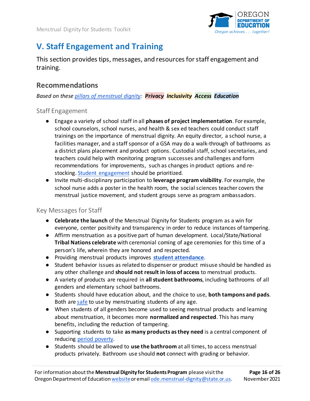

# <span id="page-15-0"></span>**V. Staff Engagement and Training**

This section provides tips, messages, and resources for staff engagement and training.

## **Recommendations**

#### *Based on these [pillars of menstrual dignity:](#page-4-0) Privacy Inclusivity Access Education*

## Staff Engagement

- Engage a variety of school staff in all **phases of project implementation**. For example, school counselors, school nurses, and health & sex ed teachers could conduct staff trainings on the importance of menstrual dignity. An equity director, a school nurse, a facilities manager, and a staff sponsor of a GSA may do a walk-through of bathrooms as a district plans placement and product options. Custodial staff, school secretaries, and teachers could help with monitoring program successes and challenges and form recommendations for improvements, such as changes in product options and restocking. [Student engagement](#page-17-0) should be prioritized.
- Invite multi-disciplinary participation to **leverage program visibility**. For example, the school nurse adds a poster in the health room, the social sciences teacher covers the menstrual justice movement, and student groups serve as program ambassadors.

## Key Messages for Staff

- **Celebrate the launch** of the Menstrual Dignity for Students program as a win for everyone, center positivity and transparency in order to reduce instances of tampering.
- Affirm menstruation as a positive part of human development. Local/State/National **Tribal Nations celebrate** with ceremonial coming of age ceremonies for this time of a person's life, wherein they are honored and respected.
- Providing menstrual products improves **[student attendance](https://www.nea.org/advocating-for-change/new-from-nea/growing-awareness-period-poverty-schools)**.
- Student behavior issues as related to dispenser or product misuse should be handled as any other challenge and **should not result in loss of access** to menstrual products.
- A variety of products are required in **all student bathrooms**, including bathrooms of all genders and elementary school bathrooms.
- Students should have education about, and the choice to use, **both tampons and pads**. Both are [safe](https://www.fda.gov/consumers/consumer-updates/facts-tampons-and-how-use-them-safely) to use by menstruating students of any age.
- When students of all genders become used to seeing menstrual products and learning about menstruation, it becomes more **normalized and respected**. This has many benefits, including the reduction of tampering.
- Supporting students to take **as many products as they need** is a central component of reducing [period poverty.](https://static1.squarespace.com/static/5d9a3a2e67d91a6c742dc67c/t/5df5c7f64ef8f11afcadcad7/1576388600742/secured.+One+Pager.pdf)
- Students should be allowed to **use the bathroom** at all times, to access menstrual products privately. Bathroom use should **not** connect with grading or behavior.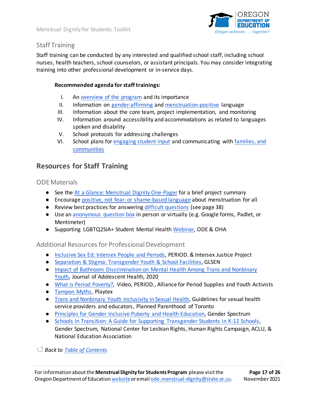

## Staff Training

Staff training can be conducted by any interested and qualified school staff, including school nurses, health teachers, school counselors, or assistant principals. You may consider integrating training into other professional development or in-service days.

#### **Recommended agenda for staff trainings:**

- I. An [overview of the program](#page-2-0) and its importance
- II. Information on [gender-affirming](#page-13-0) and [menstruation-positive](#page-19-0) language
- III. Information about the core team, project implementation, and monitoring
- IV. Information around accessibility and accommodations as related to languages spoken and disability
- V. School protocols for addressing challenges
- VI. School plans for [engaging student input](#page-17-0) and communicating with [families, and](#page-18-0)  [communities](#page-18-0)

## **Resources for Staff Training**

ODE Materials

- See the [At a Glance: Menstrual Dignity One-Pager](https://www.oregon.gov/ode/students-and-family/healthsafety/Documents/ODE%20Menstrual%20Dignity%20for%20Students_At%20a%20Glance%201-Pager.pdf) for a brief project summary
- Encourage [positive, not fear- or shame-based language](#page-19-0) about menstruation for all
- Review best practices for answering [difficult questions](https://www.oregon.gov/ode/students-and-family/healthsafety/Documents/SEMS%20Teacher%27s%20Guide.pdf) (see page 38)
- Use an [anonymous question box](https://gdhr.wa.gov.au/guides/what-to-teach/question-box) in person or virtually (e.g. Google forms, Padlet, or Mentimeter)
- Supporting LGBTQ2SIA+ Student Mental Healt[h Webinar,](https://ode.instructure.com/courses/379/pages/supporting-lgbtq+-mental-health-safe-and-affirming-school-climates-during-distance-learning-webinar) ODE & OHA

Additional Resources for Professional Development

- [Inclusive Sex Ed: Intersex People and Periods,](https://www.youtube.com/watch?v=Fo7zCuognrA) PERIOD. & Intersex Justice Project
- [Separation & Stigma: Transgender Youth & School Facilities,](https://www.glsen.org/sites/default/files/2019-11/Separation_and_Stigma_2017.pdf) GLSEN
- [Impact of Bathroom Discrimination on Mental Health Among Trans and Nonbinary](https://www.jahonline.org/article/S1054-139X(20)30653-4/fulltext) [Youth,](https://www.jahonline.org/article/S1054-139X(20)30653-4/fulltext) Journal of Adolescent Health, 2020
- [What is Period Poverty?,](https://youtu.be/VC5sOVUaOQA) Video, PERIOD., Alliance for Period Supplies and Youth Activists
- [Tampon Myths,](https://www.playtexplayon.com/tampon-faq/tampon-myths) Playtex
- [Trans and Nonbinary Youth Inclusivity in Sexual Health,](https://youthrex.com/wp-content/uploads/2019/02/Trans-and-nonbinary-youth-inclusivity-in-sexual-health-guidelines-FINAL.pdf) Guidelines for sexual health service providers and educators, Planned Parenthood of Toronto
- [Principles for Gender Inclusive Puberty and Health Education,](https://genderspectrum.org/articles/puberty-and-health-ed) Gender Spectrum
- [Schools In Transition: A Guide for Supporting Transgender Students in K-12 Schools,](https://gender-spectrum.cdn.prismic.io/gender-spectrum%2F7c4c63b2-52f2-4cb0-a48f-dd049bf6962c_schools-in-transition-2015-min.pdf) Gender Spectrum, National Center for Lesbian Rights, Human Rights Campaign, ACLU, & National Education Association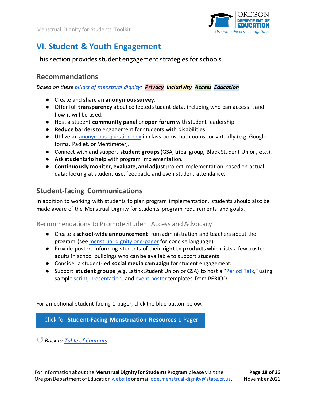

# <span id="page-17-0"></span>**VI. Student & Youth Engagement**

This section provides student engagement strategies for schools.

## **Recommendations**

*Based on these [pillars of menstrual dignity:](#page-4-0) Privacy Inclusivity Access Education*

- Create and share an **anonymous survey**.
- Offer full **transparency** about collected student data, including who can access it and how it will be used.
- Host a student **community panel** or **open forum** with student leadership.
- **Reduce barriers**to engagement for students with disabilities.
- Utilize a[n anonymous question box](https://gdhr.wa.gov.au/guides/what-to-teach/question-box) in classrooms, bathrooms, or virtually (e.g. Google forms, Padlet, or Mentimeter).
- Connect with and support **student groups**(GSA, tribal group, Black Student Union, etc.).
- **Ask students to help** with program implementation.
- **Continuously monitor, evaluate, and adjust** project implementation based on actual data; looking at student use, feedback, and even student attendance.

## **Student-facing Communications**

In addition to working with students to plan program implementation, students should also be made aware of the Menstrual Dignity for Students program requirements and goals.

## Recommendations to Promote Student Access and Advocacy

- Create a **school-wide announcement** from administration and teachers about the program (se[e menstrual dignity one-pager](https://www.oregon.gov/ode/students-and-family/healthsafety/Documents/ODE%20Menstrual%20Dignity%20for%20Students_At%20a%20Glance%201-Pager.pdf) for concise language).
- Provide posters informing students of their **right to products** which lists a few trusted adults in school buildings who can be available to support students.
- Consider a student-led **social media campaign** for student engagement.
- Support **student groups**(e.g. Latinx Student Union or GSA) to host a ["Period Talk,](https://period-action.org/education)" using sample [script,](https://period.org/uploads/PERIOD-TALK-Script-rev-2.0-FINAL.pdf) [presentation,](https://docs.google.com/presentation/d/1P3jRVTJ7NdIvPsr2DDA7F-pT81JtvAbjgNmfqv0qJM4/copy) and [event poster](https://www.canva.com/design/DAEabguMPjw/HH0zxm1zwSBTw86K8pjKlg/view?utm_content=DAEabguMPjw&utm_campaign=designshare&utm_medium=link&utm_source=sharebutton&mode=preview) templates from PERIOD.

For an optional student-facing 1-pager, click the blue button below.

Click for **[Student-Facing Menstruation Resources](https://www.oregon.gov/ode/students-and-family/healthsafety/Documents/MDFS%20Toolkit_Student-Facing%20Menstruation%20Resources%201-Pager.pdf)** 1-Pager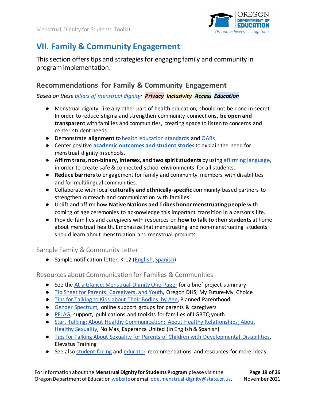

# <span id="page-18-0"></span>**VII. Family & Community Engagement**

This section offers tips and strategies for engaging family and community in program implementation.

## **Recommendations for Family & Community Engagement**

*Based on these [pillars of menstrual dignity:](#page-4-0) Privacy Inclusivity Access Education*

- Menstrual dignity, like any other part of health education, should not be done in secret. In order to reduce stigma and strengthen community connections, **be open and transparent** with families and communities, creating space to listen to concerns and center student needs.
- Demonstrate **alignment** to [health education standards](#page-13-1) and [OARs.](#page-5-0)
- Center positive **[academic outcomes and student stories](#page-2-0)**to explain the need for menstrual dignity in schools.
- **Affirm trans, non-binary, intersex, and two spirit students** by usin[g affirming language,](#page-13-0) in order to create safe & connected school environments for all students.
- **Reduce barriers**to engagement for family and community members with disabilities and for multilingual communities.
- Collaborate with local **culturally and ethnically-specific** community-based partners to strengthen outreach and communication with families.
- Uplift and affirm how **Native Nations and Tribes honor menstruating people** with coming of age ceremonies to acknowledge this important transition in a person's life.
- Provide families and caregivers with resources on **how to talk to their students** at home about menstrual health. Emphasize that menstruating and non-menstruating students should learn about menstruation and menstrual products.

## Sample Family & Community Letter

● Sample notification letter, K-12 ([English,](https://www.oregon.gov/ode/students-and-family/healthsafety/Documents/MDFS%20Parent%20Letter%20Sample_English.docx) [Spanish\)](https://www.oregon.gov/ode/students-and-family/healthsafety/Documents/MDFS%20Parent%20Letter%20Sample_Spanish.docx)

Resources about Communication for Families & Communities

- See the [At a Glance: Menstrual Dignity One-Pager](https://www.oregon.gov/ode/students-and-family/healthsafety/Documents/ODE%20Menstrual%20Dignity%20for%20Students_At%20a%20Glance%201-Pager.pdf) for a brief project summary
- [Tip Sheet for Parents, Caregivers, and Youth,](https://sharedsystems.dhsoha.state.or.us/DHSForms/Served/de3056.pdf?CFGRIDKEY=DHS%203056,,TAB%20Tip-Sheet,de3056.pdf,,,,,,,,,,../FORMS/-,,../FORMS/-) Oregon DHS, My Future-My Choice
- [Tips for Talking to Kids about Their Bodies, by Age,](https://www.plannedparenthood.org/learn/parents/bodies) Planned Parenthood
- [Gender Spectrum,](https://www.genderspectrum.org/blog/resources-for-challenging-times/) online support groups for parents & caregivers
- [PFLAG,](https://pflag.org/family) support, publications and toolkits for families of LGBTQ youth
- [Start Talking: About Healthy Communication; About Healthy Relationships; About](https://esperanzaunited.org/en/knowledge-base/our-community-says-no-mas/healthy-communication/) [Healthy Sexuality,](https://esperanzaunited.org/en/knowledge-base/our-community-says-no-mas/healthy-communication/) No Mas, Esperanza United (in English & Spanish)
- [Tips for Talking About Sexuality for Parents of Children with Developmental Disabilities](https://www.elevatustraining.com/tips-for-talking-parents/), Elevatus Training
- See als[o student-facing](https://www.oregon.gov/ode/students-and-family/healthsafety/Documents/MDFS%20Toolkit_Student-Facing%20Menstruation%20Resources%201-Pager.pdf) and [educator](https://www.oregon.gov/ode/students-and-family/healthsafety/Documents/MDFS%20Toolkit_Instructional%20Materials%20Options%201-Pager.pdf) recommendations and resources for more ideas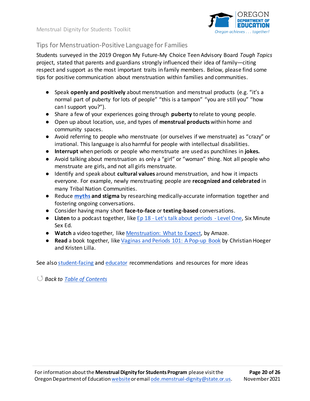

## <span id="page-19-0"></span>Tips for Menstruation-Positive Language for Families

Students surveyed in the 2019 Oregon My Future-My Choice Teen Advisory Board *Tough Topics* project, stated that parents and guardians strongly influenced their idea of family—citing respect and support as the most important traits in family members. Below, please find some tips for positive communication about menstruation within families and communities.

- Speak **openly and positively** about menstruation and menstrual products (e.g. "it's a normal part of puberty for lots of people" "this is a tampon" "you are still you" "how can I support you?").
- Share a few of your experiences going through **puberty** to relate to young people.
- Open up about location, use, and types of **menstrual products** within home and community spaces.
- Avoid referring to people who menstruate (or ourselves if we menstruate) as "crazy" or irrational. This language is also harmful for people with intellectual disabilities.
- **Interrupt** when periods or people who menstruate are used as punchlines in **jokes.**
- Avoid talking about menstruation as only a "girl" or "woman" thing. Not all people who menstruate are girls, and not all girls menstruate.
- Identify and speak about **cultural values** around menstruation, and how it impacts everyone. For example, newly menstruating people are **recognized and celebrated** in many Tribal Nation Communities.
- Reduce **[myths](https://www.playtexplayon.com/tampon-faq/tampon-myths) and stigma** by researching medically-accurate information together and fostering ongoing conversations.
- Consider having many short **face-to-face** or **texting-based** conversations.
- **Listen** to a podcast together, lik[e Ep 18 Let's talk about periods Level One,](https://podcasts.apple.com/us/podcast/ep-18-lets-talk-about-periods-level-one/id1443243552?i=1000449900718) Six Minute Sex Ed.
- **Watch** a video together, like [Menstruation: What to Expect,](https://amaze.org/video/puberty-menstruation-what-to-expect/) by Amaze.
- **Read** a book together, like [Vaginas and Periods 101: A Pop-up Book](https://sexedtalk.com/popup) by Christian Hoeger and Kristen Lilla.

See als[o student-facing](https://www.oregon.gov/ode/students-and-family/healthsafety/Documents/MDFS%20Toolkit_Student-Facing%20Menstruation%20Resources%201-Pager.pdf) and [educator](https://www.oregon.gov/ode/students-and-family/healthsafety/Documents/MDFS%20Toolkit_Instructional%20Materials%20Options%201-Pager.pdf) recommendations and resources for more ideas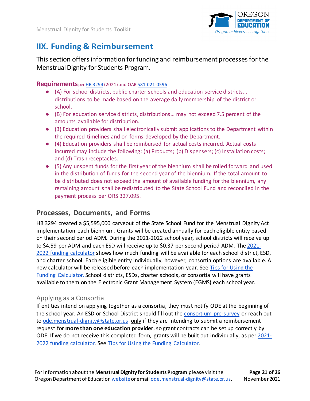

# <span id="page-20-0"></span>**IIX. Funding & Reimbursement**

This section offers information for funding and reimbursement processes for the Menstrual Dignity for Students Program.

#### **Requirements**per [HB 3294](https://olis.oregonlegislature.gov/liz/2021R1/Downloads/MeasureDocument/HB3294/Enrolled) (2021) and OAR [581-021-0](https://secure.sos.state.or.us/oard/viewSingleRule.action?ruleVrsnRsn=287772)<sup>596</sup>

- (A) For school districts, public charter schools and education service districts… distributions to be made based on the average daily membership of the district or school.
- (B) For education service districts, distributions... may not exceed 7.5 percent of the amounts available for distribution.
- (3) Education providers shall electronically submit applications to the Department within the required timelines and on forms developed by the Department.
- (4) Education providers shall be reimbursed for actual costs incurred. Actual costs incurred may include the following: (a) Products; (b) Dispensers; (c) Installation costs; and (d) Trash receptacles.
- (5) Any unspent funds for the first year of the biennium shall be rolled forward and used in the distribution of funds for the second year of the biennium. If the total amount to be distributed does not exceed the amount of available funding for the biennium, any remaining amount shall be redistributed to the State School Fund and reconciled in the payment process per ORS 327.095.

## **Processes, Documents, and Forms**

HB 3294 created a \$5,595,000 carveout of the State School Fund for the Menstrual Dignity Act implementation each biennium. Grants will be created annually for each eligible entity based on their second period ADM. During the 2021-2022 school year, school districts will receive up to \$4.59 per ADM and each ESD will receive up to \$0.37 per second period ADM. The [2021-](https://www.oregon.gov/ode/students-and-family/healthsafety/Documents/HB3294%20Funding%20Calculator.pdf) [2022 funding calculator](https://www.oregon.gov/ode/students-and-family/healthsafety/Documents/HB3294%20Funding%20Calculator.pdf) shows how much funding will be available for each school district, ESD, and charter school. Each eligible entity individually, however, consortia options are available. A new calculator will be released before each implementation year. See [Tips for Using the](https://www.oregon.gov/ode/students-and-family/healthsafety/Documents/MDFS%20Funding%20Calculator%20Tips.pdf)  [Funding Calculator.](https://www.oregon.gov/ode/students-and-family/healthsafety/Documents/MDFS%20Funding%20Calculator%20Tips.pdf) School districts, ESDs, charter schools, or consortia will have grants available to them on the Electronic Grant Management System (EGMS) each school year.

## Applying as a Consortia

If entities intend on applying together as a consortia, they must notify ODE at the beginning of the school year. An ESD or School District should fill out the [consortium pre-survey](https://app.smartsheet.com/b/form/3b1bdc4910d94a9294cfedd57f61a693) or reach out to [ode.menstrual-dignity@state.or.us](mailto:ode.menstrual-dignity@state.or.us) only if they are intending to submit a reimbursement request for **more than one education provider**, so grant contracts can be set up correctly by ODE. If we do not receive this completed form, grants will be built out individually, as per [2021-](https://www.oregon.gov/ode/students-and-family/healthsafety/Documents/HB3294%20Funding%20Calculator.pdf) [2022 funding calculator.](https://www.oregon.gov/ode/students-and-family/healthsafety/Documents/HB3294%20Funding%20Calculator.pdf) See [Tips for Using the Funding Calculator.](https://www.oregon.gov/ode/students-and-family/healthsafety/Documents/MDFS%20Funding%20Calculator%20Tips.pdf)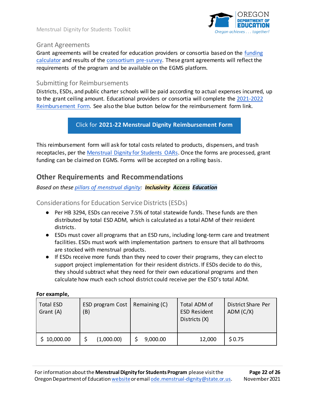

#### Grant Agreements

Grant agreements will be created for education providers or consortia based on the [funding](https://www.oregon.gov/ode/students-and-family/healthsafety/Documents/HB3294%20Funding%20Calculator.pdf)  [calculator](https://www.oregon.gov/ode/students-and-family/healthsafety/Documents/HB3294%20Funding%20Calculator.pdf) and results of the [consortium pre-survey.](https://app.smartsheet.com/b/form/3b1bdc4910d94a9294cfedd57f61a693) These grant agreements will reflect the requirements of the program and be available on the EGMS platform.

#### Submitting for Reimbursements

Districts, ESDs, and public charter schools will be paid according to actual expenses incurred, up to the grant ceiling amount. Educational providers or consortia will complete the [2021-2022](https://app.smartsheet.com/b/form/0635a3965d504d0ca21d1402831cb6e2)  [Reimbursement Form.](https://app.smartsheet.com/b/form/0635a3965d504d0ca21d1402831cb6e2) See also the blue button below for the reimbursement form link.

Click for **[2021-22 Menstrual Dignity Reimbursement Form](https://app.smartsheet.com/b/form/0635a3965d504d0ca21d1402831cb6e2)**

This reimbursement form will ask for total costs related to products, dispensers, and trash receptacles, per the [Menstrual Dignity for Students OARs.](#page-5-0) Once the forms are processed, grant funding can be claimed on EGMS. Forms will be accepted on a rolling basis.

## **Other Requirements and Recommendations**

*Based on these [pillars of menstrual dignity:](#page-4-0) Inclusivity Access Education*

Considerations for Education Service Districts (ESDs)

- Per HB 3294, ESDs can receive 7.5% of total statewide funds. These funds are then distributed by total ESD ADM, which is calculated as a total ADM of their resident districts.
- ESDs must cover all programs that an ESD runs, including long-term care and treatment facilities. ESDs must work with implementation partners to ensure that all bathrooms are stocked with menstrual products.
- If ESDs receive more funds than they need to cover their programs, they can elect to support project implementation for their resident districts. If ESDs decide to do this, they should subtract what they need for their own educational programs and then calculate how much each school district could receive per the ESD's total ADM.

#### **For example,**

| <b>Total ESD</b><br>Grant (A) | ESD program Cost<br>(B) | Remaining (C) | Total ADM of<br><b>ESD Resident</b><br>Districts (X) | <b>District Share Per</b><br>ADM (C/X) |
|-------------------------------|-------------------------|---------------|------------------------------------------------------|----------------------------------------|
| \$10,000.00                   | (1,000.00)              | 9,000.00      | 12,000                                               | \$0.75                                 |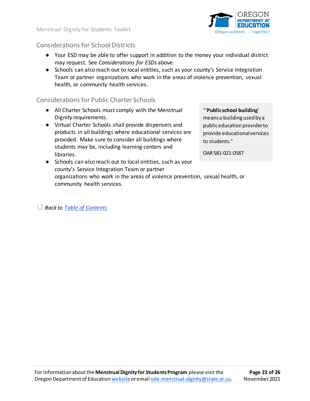

## Considerations for School Districts

- Your ESD may be able to offer support in addition to the money your individual district may request. See *Considerations for ESDs* above.
- Schools can also reach out to local entities, such as your county's Service Integration Team or partner organizations who work in the areas of violence prevention, sexual health, or community health services.

## Considerations for Public Charter Schools

- All Charter Schools must comply with the Menstrual Dignity requirements.
- Virtual Charter Schools shall provide dispensers and products in all buildings where educational services are provided. Make sure to consider all buildings where students may be, including learning centers and libraries.

"'**Public school building**' means a building used by a public education providerto provide educational services to students."

OAR 581-021-0587

● Schools can also reach out to local entities, such as your county's Service Integration Team or partner organizations who work in the areas of violence prevention, sexual health, or community health services.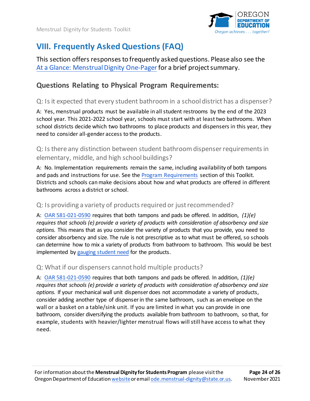

# <span id="page-23-0"></span>**VIII. Frequently Asked Questions (FAQ)**

This section offers responses to frequently asked questions. Please also see the At a Glance: [Menstrual Dignity One-Pager](https://www.oregon.gov/ode/students-and-family/healthsafety/Documents/ODE%20Menstrual%20Dignity%20for%20Students_At%20a%20Glance%201-Pager.pdf) for a brief project summary.

## **Questions Relating to Physical Program Requirements:**

Q: Is it expected that every student bathroom in a school district has a dispenser?

A: Yes, menstrual products must be available in all student restrooms by the end of the 2023 school year. This 2021-2022 school year, schools must start with at leasttwo bathrooms. When school districts decide which two bathrooms to place products and dispensers in this year, they need to consider all-gender access to the products.

Q: Is there any distinction between student bathroom dispenser requirements in elementary, middle, and high school buildings?

A: No. Implementation requirements remain the same, including availability of both tampons and pads and instructions for use. See the [Program Requirements](#page-6-0) section of this Toolkit. Districts and schools can make decisions about how and what products are offered in different bathrooms across a district or school.

## Q: Is providing a variety of products required or just recommended?

A: [OAR 581-021-0](https://secure.sos.state.or.us/oard/viewSingleRule.action?ruleVrsnRsn=287770)590 requires that both tampons and pads be offered. In addition, *(1)(e) requires that schools (e) provide a variety of products with consideration of absorbency and size options.* This means that as you consider the variety of products that you provide, you need to consider absorbency and size. The rule is not prescriptive as to what must be offered, so schools can determine how to mix a variety of products from bathroom to bathroom. This would be best implemented by gauging [student](#page-17-0) need for the products.

## Q: What if our dispensers cannot hold multiple products?

A: [OAR 581-021-0](https://secure.sos.state.or.us/oard/viewSingleRule.action?ruleVrsnRsn=287770)590 requires that both tampons and pads be offered. In addition, *(1)(e) requires that schools (e) provide a variety of products with consideration of absorbency and size options.* If your mechanical wall unit dispenser does not accommodate a variety of products, consider adding another type of dispenserin the same bathroom, such as an envelope on the wall or a basket on a table/sink unit. If you are limited in what you can provide in one bathroom, consider diversifying the products available from bathroom to bathroom, so that, for example, students with heavier/lighter menstrual flows will still have access to what they need.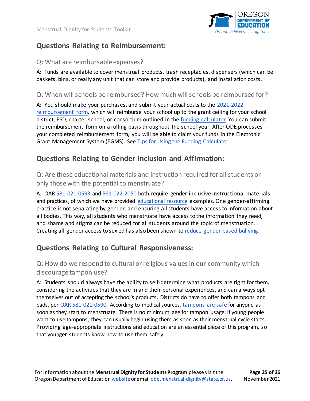

## **Questions Relating to Reimbursement:**

## Q: What are reimbursable expenses?

A: Funds are available to cover menstrual products, trash receptacles, dispensers (which can be baskets, bins, or really any unit that can store and provide products), and installation costs.

## Q: When will schools be reimbursed? How much willschools be reimbursed for?

A: You should make your purchases, and submit your actual costs to the [2021-2022](https://app.smartsheet.com/b/form/0635a3965d504d0ca21d1402831cb6e2)  [reimbursement form,](https://app.smartsheet.com/b/form/0635a3965d504d0ca21d1402831cb6e2) which will reimburse your school up to the grant ceiling for your school district, ESD, charter school, or consortium outlined in the [funding calculator.](https://www.oregon.gov/ode/students-and-family/healthsafety/Documents/HB3294%20Funding%20Calculator.pdf) You can submit the reimbursement form on a rolling basis throughout the school year. After ODE processes your completed reimbursement form, you will be able to claim your funds in the Electronic Grant Management System (EGMS). See Tips for Using the Funding [Calculator.](https://www.oregon.gov/ode/students-and-family/healthsafety/Documents/MDFS%20Funding%20Calculator%20Tips.pdf)

## **Questions Relating to Gender Inclusion and Affirmation:**

Q: Are these educational materials and instruction required for all students or only thosewith the potential to menstruate?

A: OAR [581-021-0](https://secure.sos.state.or.us/oard/viewSingleRule.action?ruleVrsnRsn=287771)593 an[d 581-022-2050](https://secure.sos.state.or.us/oard/viewSingleRule.action?ruleVrsnRsn=145221) both require gender-inclusive instructional materials and practices, of which we have provided [educational resource](https://www.oregon.gov/ode/students-and-family/healthsafety/Documents/MDFS%20Toolkit_Instructional%20Materials%20Options%201-Pager.pdf) examples. One gender-affirming practice is not separating by gender, and ensuring all students have access to information about all bodies. This way, all students who menstruate have access to the information they need, and shame and stigma can be reduced for all students around the topic of menstruation. Creating all-gender access to sex ed has also been shown to [reduce gender-based bullying.](https://pubmed.ncbi.nlm.nih.gov/33059958/)

## **Questions Relating to Cultural Responsiveness:**

## Q: How do we respond to cultural or religious valuesin our community which discourage tampon use?

A: Students should always have the ability to self-determine what products are right for them, considering the activities that they are in and their personal experiences, and can always opt themselves out of accepting the school's products. Districts do have to offer both tampons and pads, per [OAR 581-021-0](https://secure.sos.state.or.us/oard/viewSingleRule.action?ruleVrsnRsn=287770)590. According to medical sources, [tampons](https://www.fda.gov/consumers/consumer-updates/facts-tampons-and-how-use-them-safely) are safe for anyone as soon as they start to menstruate. There is no minimum age for tampon usage. If young people want to use tampons, they can usually begin using them as soon as their menstrual cycle starts. Providing age-appropriate instructions and education are an essential piece of this program, so that younger students know how to use them safely.